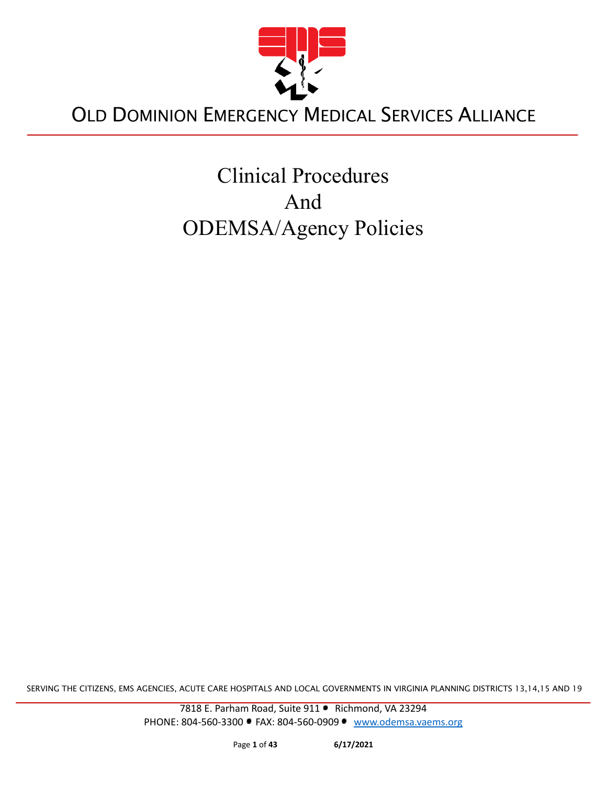

# Clinical Procedures And ODEMSA/Agency Policies

SERVING THE CITIZENS, EMS AGENCIES, ACUTE CARE HOSPITALS AND LOCAL GOVERNMENTS IN VIRGINIA PLANNING DISTRICTS 13,14,15 AND 19

7818 E. Parham Road, Suite 911 · Richmond, VA 23294 PHONE: 804-560-3300 • FAX: 804-560-0909 • [www.odemsa.vaems.org](http://www.odemsa.vaems.org)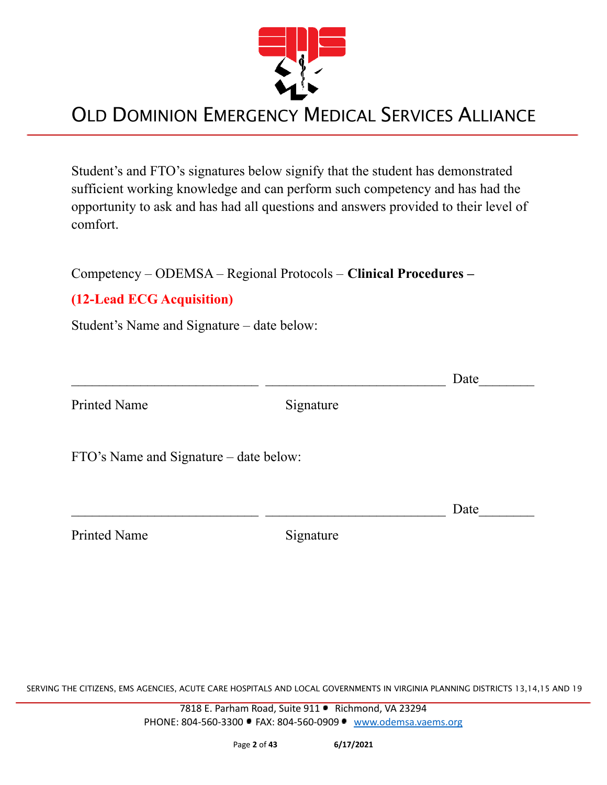

Student's and FTO's signatures below signify that the student has demonstrated sufficient working knowledge and can perform such competency and has had the opportunity to ask and has had all questions and answers provided to their level of comfort.

Competency – ODEMSA – Regional Protocols – **Clinical Procedures –**

#### **(12-Lead ECG Acquisition)**

Student's Name and Signature – date below:

|                                        |           | Date |
|----------------------------------------|-----------|------|
| <b>Printed Name</b>                    | Signature |      |
| FTO's Name and Signature – date below: |           |      |
|                                        |           | Date |
| <b>Printed Name</b>                    | Signature |      |

SERVING THE CITIZENS, EMS AGENCIES, ACUTE CARE HOSPITALS AND LOCAL GOVERNMENTS IN VIRGINIA PLANNING DISTRICTS 13,14,15 AND 19

7818 E. Parham Road, Suite 911 · Richmond, VA 23294 PHONE: 804-560-3300 • FAX: 804-560-0909 • [www.odemsa.vaems.org](http://www.odemsa.vaems.org)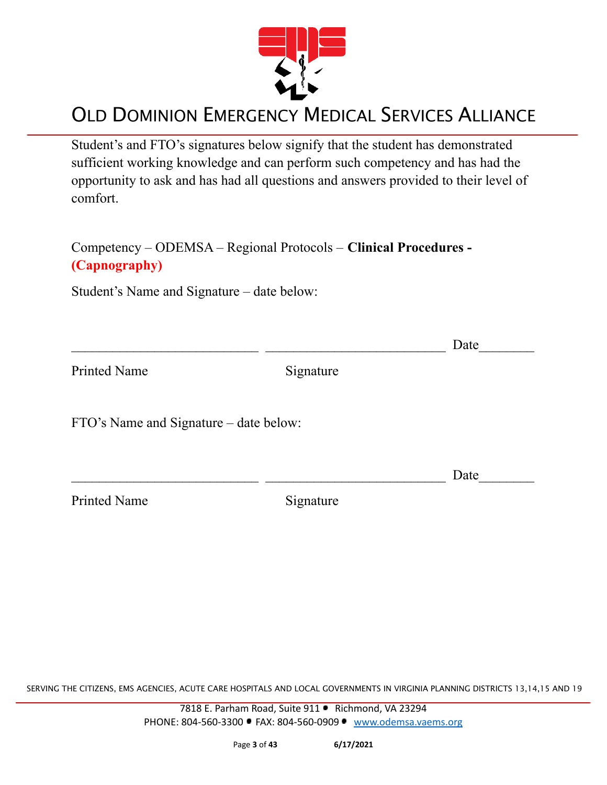

Student's and FTO's signatures below signify that the student has demonstrated sufficient working knowledge and can perform such competency and has had the opportunity to ask and has had all questions and answers provided to their level of comfort.

Competency – ODEMSA – Regional Protocols – **Clinical Procedures - (Capnography)**

Student's Name and Signature – date below:

|                                        |           | Date |
|----------------------------------------|-----------|------|
| <b>Printed Name</b>                    | Signature |      |
| FTO's Name and Signature – date below: |           |      |
|                                        |           | Date |
| <b>Printed Name</b>                    | Signature |      |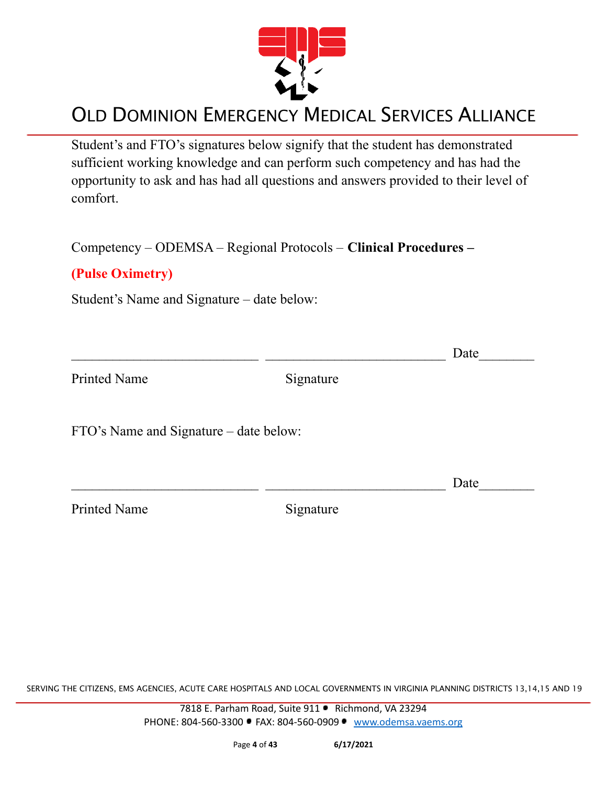

Student's and FTO's signatures below signify that the student has demonstrated sufficient working knowledge and can perform such competency and has had the opportunity to ask and has had all questions and answers provided to their level of comfort.

Competency – ODEMSA – Regional Protocols – **Clinical Procedures –**

#### **(Pulse Oximetry)**

Student's Name and Signature – date below:

|                                        |           | Date |
|----------------------------------------|-----------|------|
| <b>Printed Name</b>                    | Signature |      |
| FTO's Name and Signature – date below: |           |      |
|                                        |           | Date |
| <b>Printed Name</b>                    | Signature |      |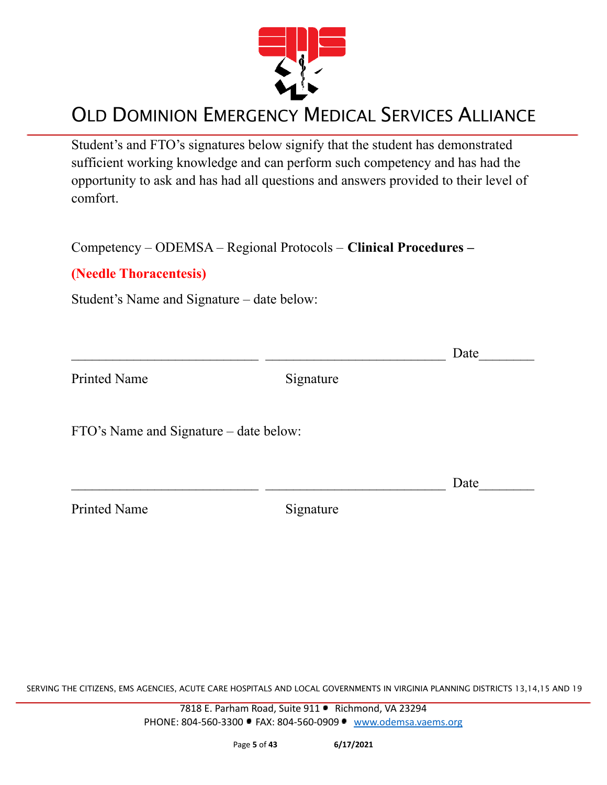

Student's and FTO's signatures below signify that the student has demonstrated sufficient working knowledge and can perform such competency and has had the opportunity to ask and has had all questions and answers provided to their level of comfort.

Competency – ODEMSA – Regional Protocols – **Clinical Procedures –**

#### **(Needle Thoracentesis)**

Student's Name and Signature – date below:

|                                        |           | Date |
|----------------------------------------|-----------|------|
| <b>Printed Name</b>                    | Signature |      |
| FTO's Name and Signature – date below: |           |      |
|                                        |           | Date |
| <b>Printed Name</b>                    | Signature |      |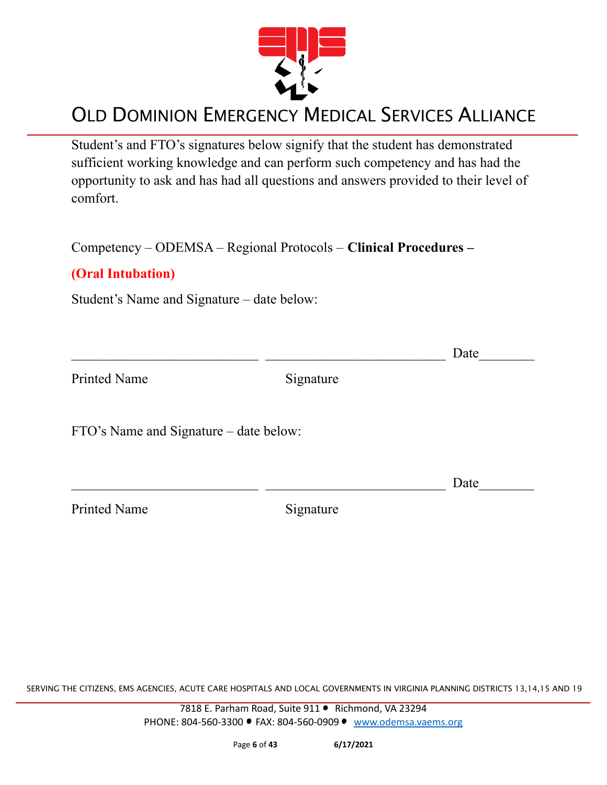

Student's and FTO's signatures below signify that the student has demonstrated sufficient working knowledge and can perform such competency and has had the opportunity to ask and has had all questions and answers provided to their level of comfort.

Competency – ODEMSA – Regional Protocols – **Clinical Procedures –**

#### **(Oral Intubation)**

Student's Name and Signature – date below:

|                                        |           | Date |
|----------------------------------------|-----------|------|
| <b>Printed Name</b>                    | Signature |      |
| FTO's Name and Signature – date below: |           |      |
|                                        |           | Date |
| <b>Printed Name</b>                    | Signature |      |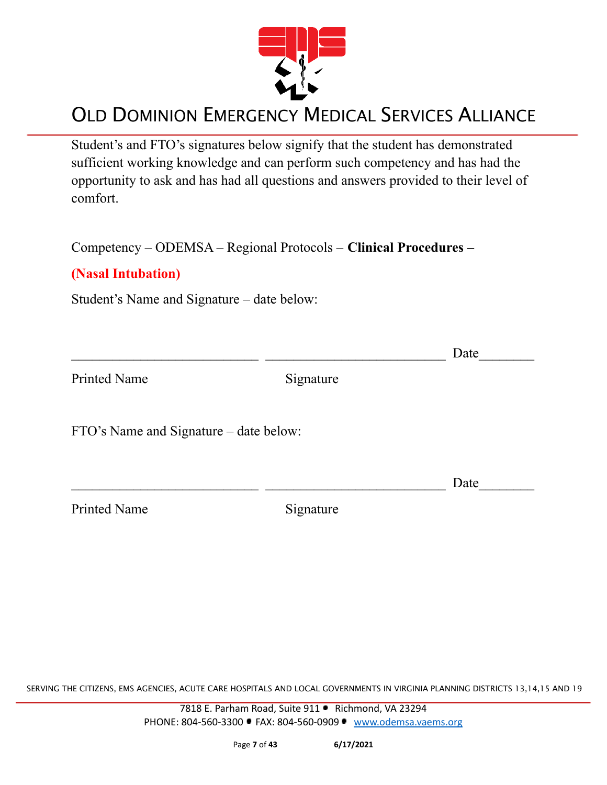

Student's and FTO's signatures below signify that the student has demonstrated sufficient working knowledge and can perform such competency and has had the opportunity to ask and has had all questions and answers provided to their level of comfort.

Competency – ODEMSA – Regional Protocols – **Clinical Procedures –**

#### **(Nasal Intubation)**

Student's Name and Signature – date below:

|                                        |           | Date |
|----------------------------------------|-----------|------|
| <b>Printed Name</b>                    | Signature |      |
| FTO's Name and Signature – date below: |           |      |
|                                        |           | Date |
| <b>Printed Name</b>                    | Signature |      |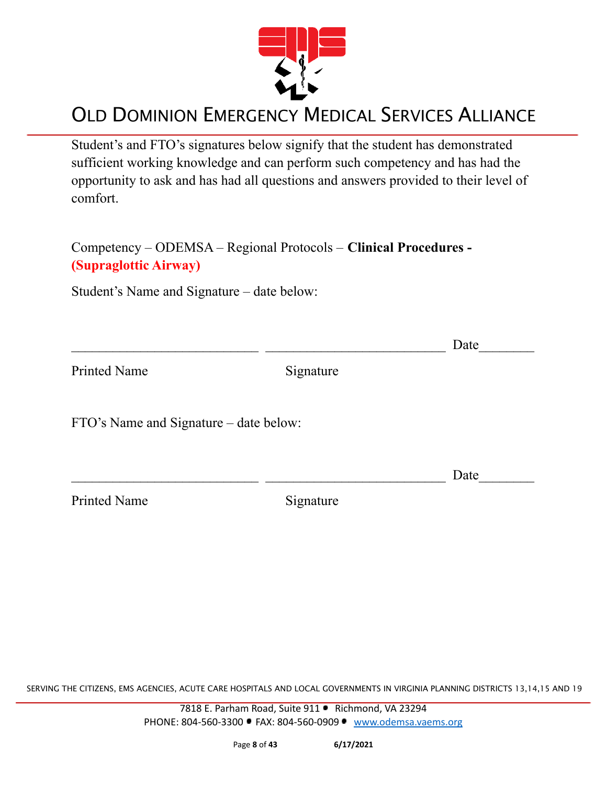

Student's and FTO's signatures below signify that the student has demonstrated sufficient working knowledge and can perform such competency and has had the opportunity to ask and has had all questions and answers provided to their level of comfort.

Competency – ODEMSA – Regional Protocols – **Clinical Procedures - (Supraglottic Airway)**

Student's Name and Signature – date below:

|                                        |           | Date |
|----------------------------------------|-----------|------|
| <b>Printed Name</b>                    | Signature |      |
| FTO's Name and Signature – date below: |           |      |
|                                        |           | Date |
| <b>Printed Name</b>                    | Signature |      |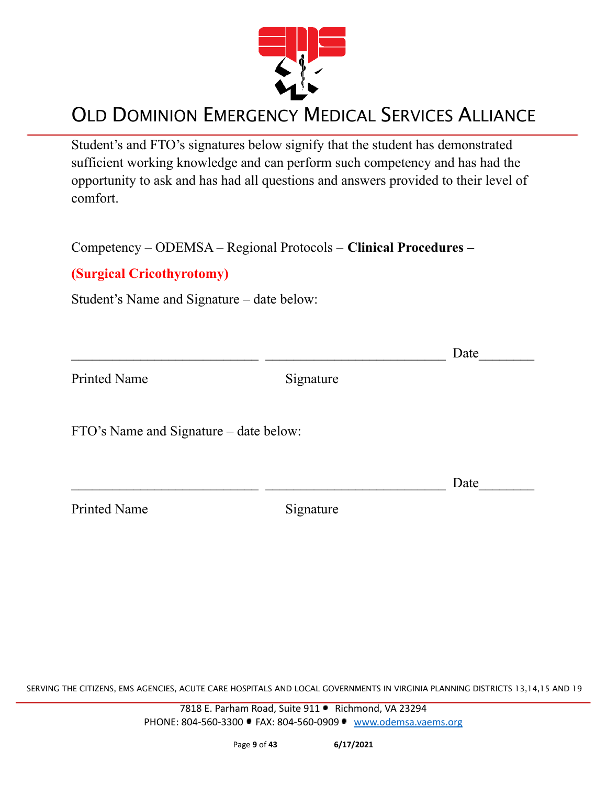

Student's and FTO's signatures below signify that the student has demonstrated sufficient working knowledge and can perform such competency and has had the opportunity to ask and has had all questions and answers provided to their level of comfort.

Competency – ODEMSA – Regional Protocols – **Clinical Procedures –**

#### **(Surgical Cricothyrotomy)**

Student's Name and Signature – date below:

|                                        |           | Date |
|----------------------------------------|-----------|------|
| <b>Printed Name</b>                    | Signature |      |
| FTO's Name and Signature – date below: |           |      |
|                                        |           | Date |
| <b>Printed Name</b>                    | Signature |      |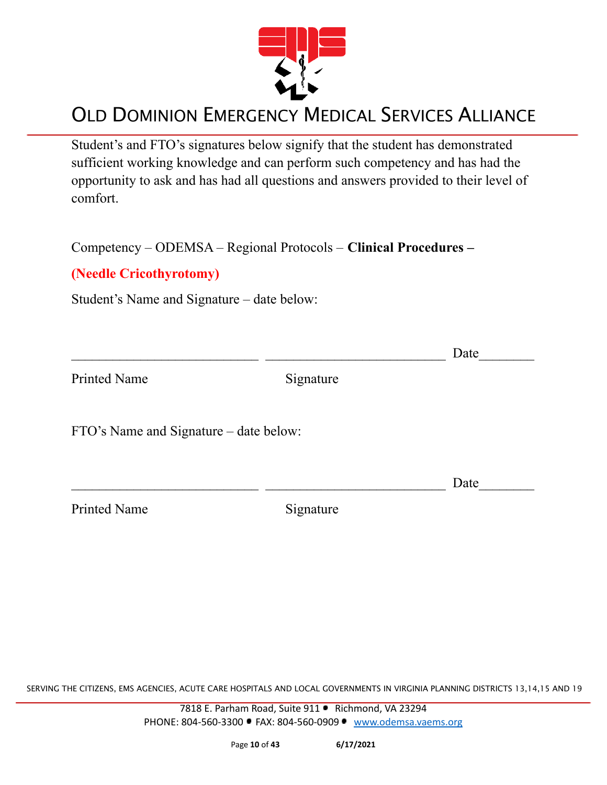

Student's and FTO's signatures below signify that the student has demonstrated sufficient working knowledge and can perform such competency and has had the opportunity to ask and has had all questions and answers provided to their level of comfort.

Competency – ODEMSA – Regional Protocols – **Clinical Procedures –**

#### **(Needle Cricothyrotomy)**

Student's Name and Signature – date below:

|                                        |           | Date |
|----------------------------------------|-----------|------|
| <b>Printed Name</b>                    | Signature |      |
| FTO's Name and Signature – date below: |           |      |
|                                        |           | Date |
| <b>Printed Name</b>                    | Signature |      |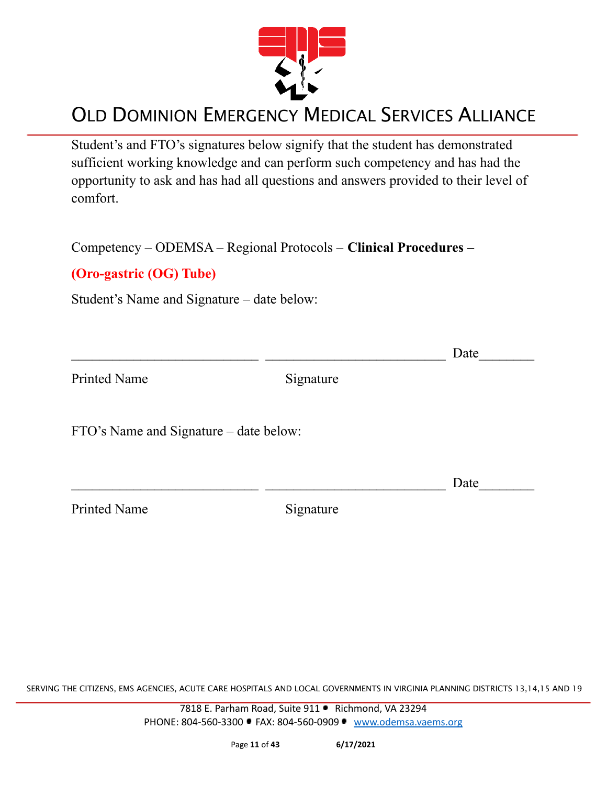

Student's and FTO's signatures below signify that the student has demonstrated sufficient working knowledge and can perform such competency and has had the opportunity to ask and has had all questions and answers provided to their level of comfort.

Competency – ODEMSA – Regional Protocols – **Clinical Procedures –**

#### **(Oro-gastric (OG) Tube)**

Student's Name and Signature – date below:

|                                        |           | Date |
|----------------------------------------|-----------|------|
| <b>Printed Name</b>                    | Signature |      |
| FTO's Name and Signature – date below: |           |      |
|                                        |           | Date |
| <b>Printed Name</b>                    | Signature |      |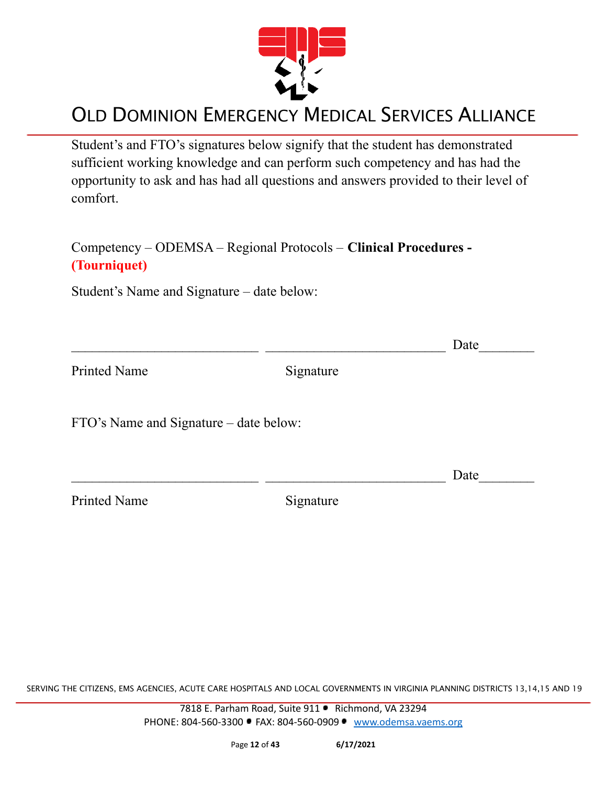

Student's and FTO's signatures below signify that the student has demonstrated sufficient working knowledge and can perform such competency and has had the opportunity to ask and has had all questions and answers provided to their level of comfort.

#### Competency – ODEMSA – Regional Protocols – **Clinical Procedures - (Tourniquet)**

Student's Name and Signature – date below:

|                                        |           | Date |
|----------------------------------------|-----------|------|
| <b>Printed Name</b>                    | Signature |      |
| FTO's Name and Signature – date below: |           |      |
|                                        |           | Date |
| <b>Printed Name</b>                    | Signature |      |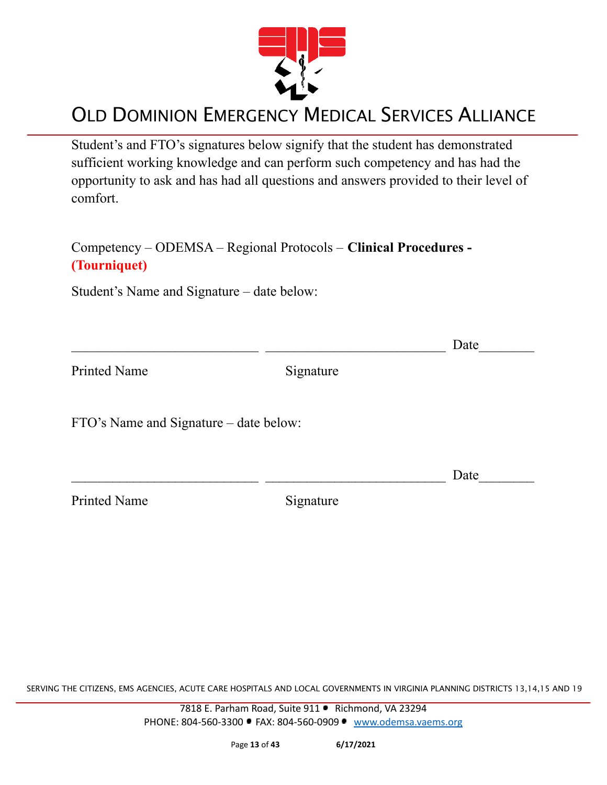

Student's and FTO's signatures below signify that the student has demonstrated sufficient working knowledge and can perform such competency and has had the opportunity to ask and has had all questions and answers provided to their level of comfort.

#### Competency – ODEMSA – Regional Protocols – **Clinical Procedures - (Tourniquet)**

Student's Name and Signature – date below:

|                                        |           | Date |
|----------------------------------------|-----------|------|
| <b>Printed Name</b>                    | Signature |      |
| FTO's Name and Signature – date below: |           |      |
|                                        |           | Date |
| <b>Printed Name</b>                    | Signature |      |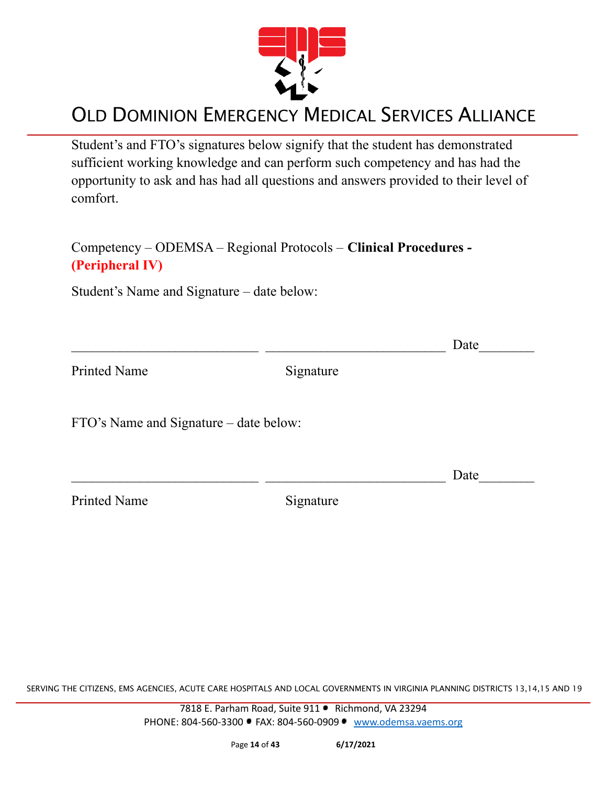

Student's and FTO's signatures below signify that the student has demonstrated sufficient working knowledge and can perform such competency and has had the opportunity to ask and has had all questions and answers provided to their level of comfort.

Competency – ODEMSA – Regional Protocols – **Clinical Procedures - (Peripheral IV)**

Student's Name and Signature – date below:

|                                        |           | Date |
|----------------------------------------|-----------|------|
| <b>Printed Name</b>                    | Signature |      |
| FTO's Name and Signature – date below: |           |      |
|                                        |           | Date |
| <b>Printed Name</b>                    | Signature |      |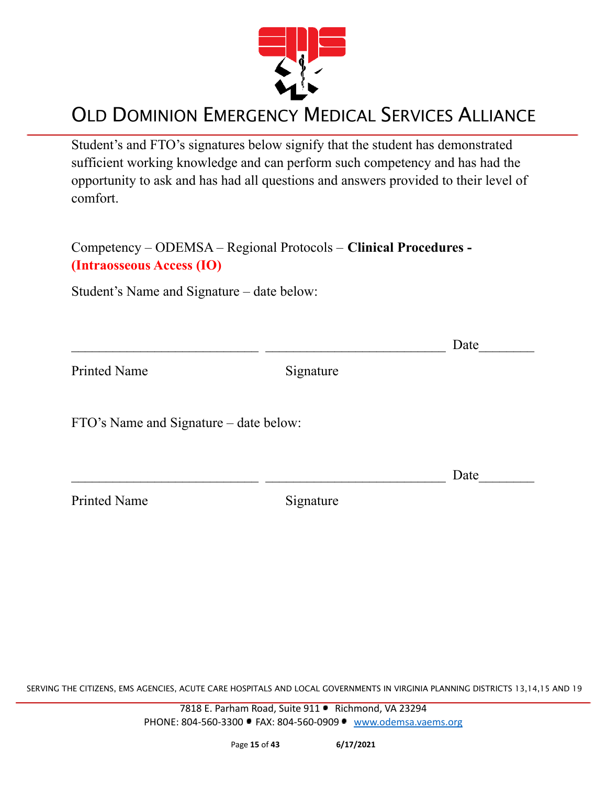

Student's and FTO's signatures below signify that the student has demonstrated sufficient working knowledge and can perform such competency and has had the opportunity to ask and has had all questions and answers provided to their level of comfort.

Competency – ODEMSA – Regional Protocols – **Clinical Procedures - (Intraosseous Access (IO)**

Student's Name and Signature – date below:

|                                        |           | Date |
|----------------------------------------|-----------|------|
| <b>Printed Name</b>                    | Signature |      |
| FTO's Name and Signature – date below: |           |      |
|                                        |           | Date |
| <b>Printed Name</b>                    | Signature |      |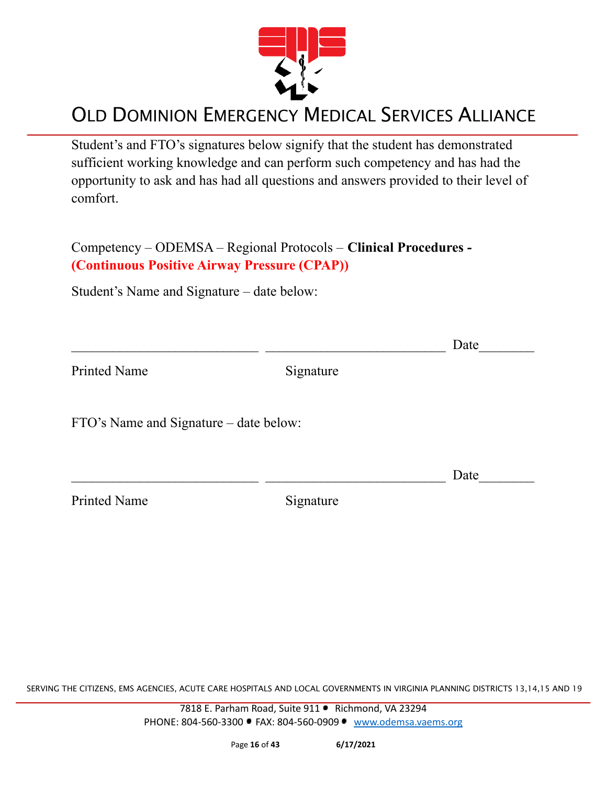

Student's and FTO's signatures below signify that the student has demonstrated sufficient working knowledge and can perform such competency and has had the opportunity to ask and has had all questions and answers provided to their level of comfort.

Competency – ODEMSA – Regional Protocols – **Clinical Procedures - (Continuous Positive Airway Pressure (CPAP))**

Student's Name and Signature – date below:

|                                        |           | Date |
|----------------------------------------|-----------|------|
| <b>Printed Name</b>                    | Signature |      |
| FTO's Name and Signature – date below: |           |      |
|                                        |           | Date |
| <b>Printed Name</b>                    | Signature |      |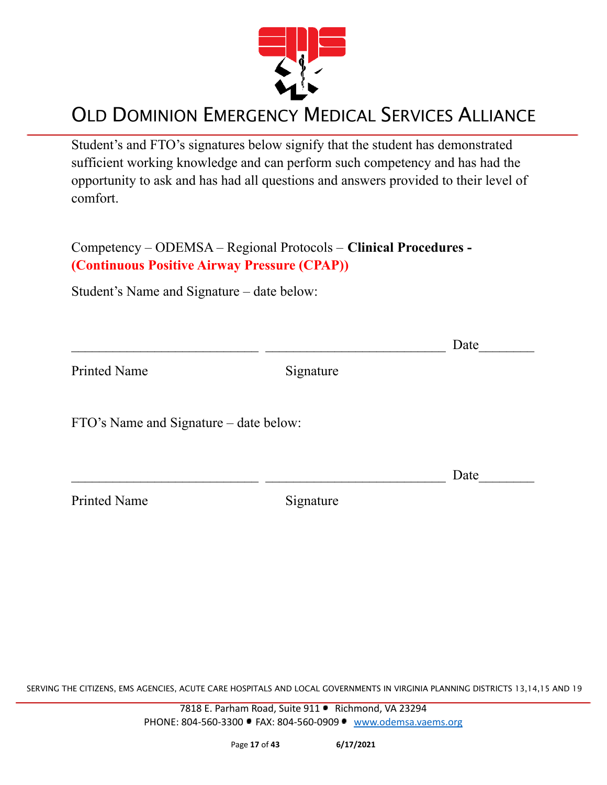

Student's and FTO's signatures below signify that the student has demonstrated sufficient working knowledge and can perform such competency and has had the opportunity to ask and has had all questions and answers provided to their level of comfort.

Competency – ODEMSA – Regional Protocols – **Clinical Procedures - (Continuous Positive Airway Pressure (CPAP))**

Student's Name and Signature – date below:

|                                        |           | Date |
|----------------------------------------|-----------|------|
| <b>Printed Name</b>                    | Signature |      |
| FTO's Name and Signature – date below: |           |      |
|                                        |           | Date |
| <b>Printed Name</b>                    | Signature |      |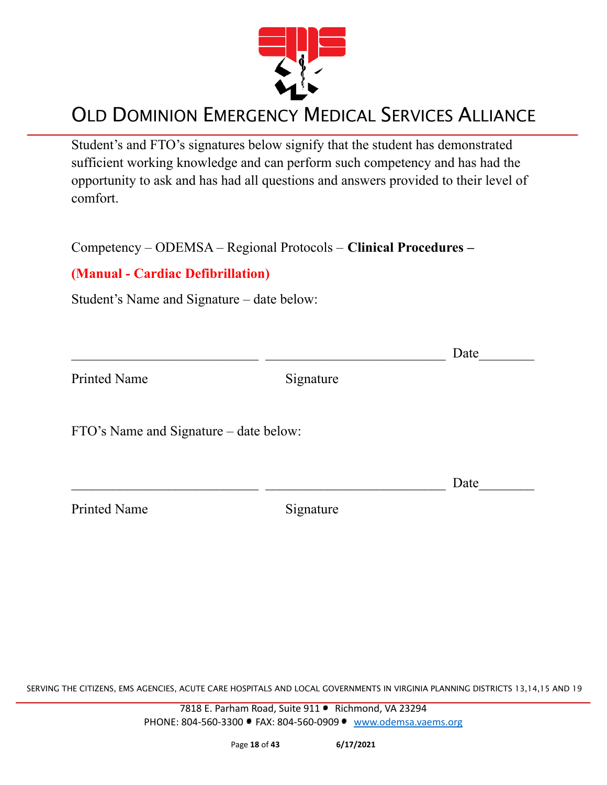

Student's and FTO's signatures below signify that the student has demonstrated sufficient working knowledge and can perform such competency and has had the opportunity to ask and has had all questions and answers provided to their level of comfort.

Competency – ODEMSA – Regional Protocols – **Clinical Procedures –**

#### **(Manual - Cardiac Defibrillation)**

Student's Name and Signature – date below:

|                                        |           | Date |
|----------------------------------------|-----------|------|
| <b>Printed Name</b>                    | Signature |      |
| FTO's Name and Signature – date below: |           |      |
|                                        |           | Date |
| <b>Printed Name</b>                    | Signature |      |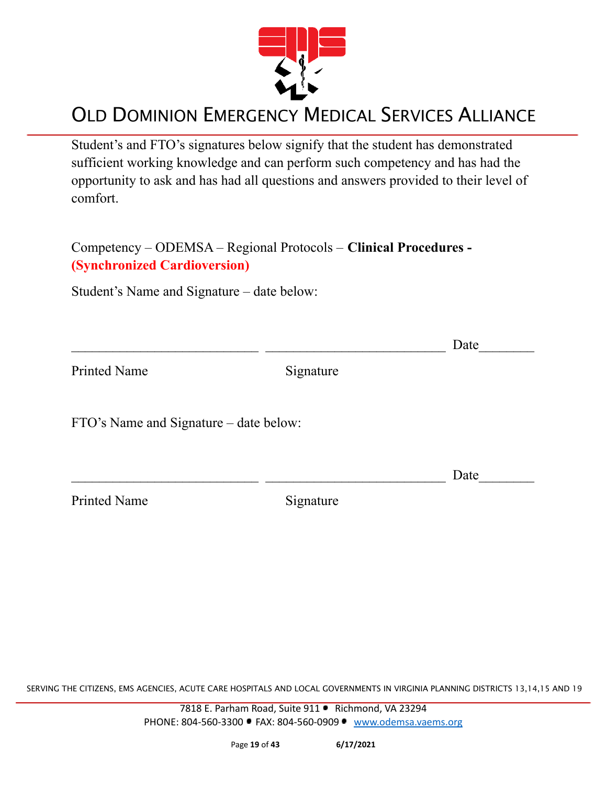

Student's and FTO's signatures below signify that the student has demonstrated sufficient working knowledge and can perform such competency and has had the opportunity to ask and has had all questions and answers provided to their level of comfort.

Competency – ODEMSA – Regional Protocols – **Clinical Procedures - (Synchronized Cardioversion)**

Student's Name and Signature – date below:

|                                        |           | Date |
|----------------------------------------|-----------|------|
| <b>Printed Name</b>                    | Signature |      |
| FTO's Name and Signature – date below: |           |      |
|                                        |           | Date |
| <b>Printed Name</b>                    | Signature |      |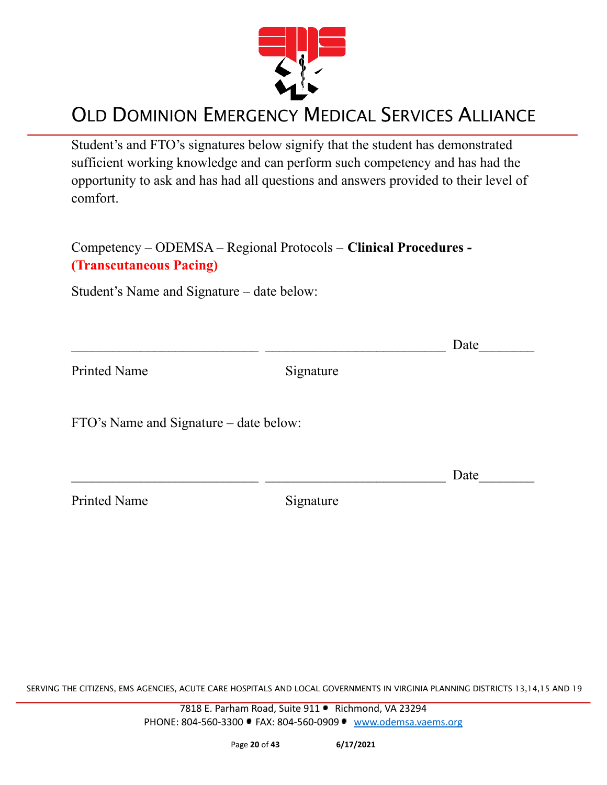

Student's and FTO's signatures below signify that the student has demonstrated sufficient working knowledge and can perform such competency and has had the opportunity to ask and has had all questions and answers provided to their level of comfort.

Competency – ODEMSA – Regional Protocols – **Clinical Procedures - (Transcutaneous Pacing)**

Student's Name and Signature – date below:

|                                        |           | Date |
|----------------------------------------|-----------|------|
| Printed Name                           | Signature |      |
| FTO's Name and Signature – date below: |           |      |
|                                        |           | Date |
| <b>Printed Name</b>                    | Signature |      |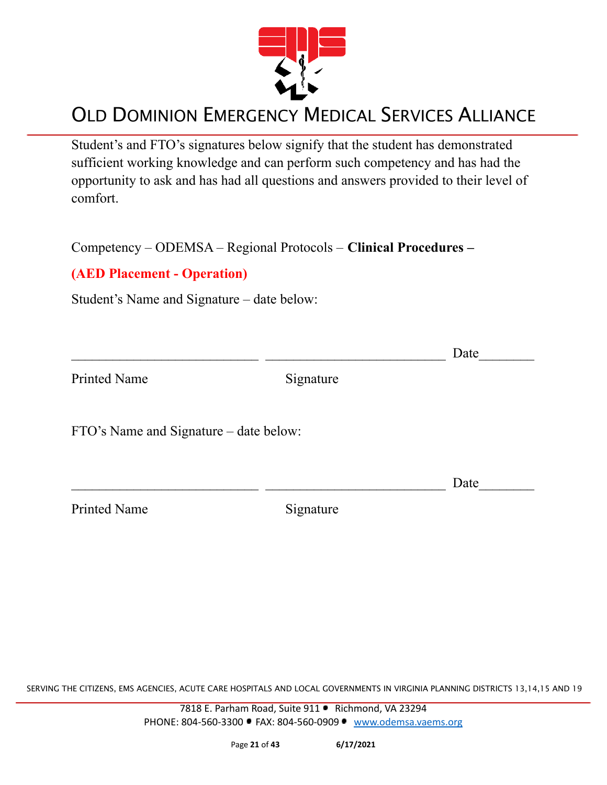

Student's and FTO's signatures below signify that the student has demonstrated sufficient working knowledge and can perform such competency and has had the opportunity to ask and has had all questions and answers provided to their level of comfort.

Competency – ODEMSA – Regional Protocols – **Clinical Procedures –**

#### **(AED Placement - Operation)**

Student's Name and Signature – date below:

|                                        |           | Date |
|----------------------------------------|-----------|------|
| <b>Printed Name</b>                    | Signature |      |
| FTO's Name and Signature – date below: |           |      |
|                                        |           | Date |
| <b>Printed Name</b>                    | Signature |      |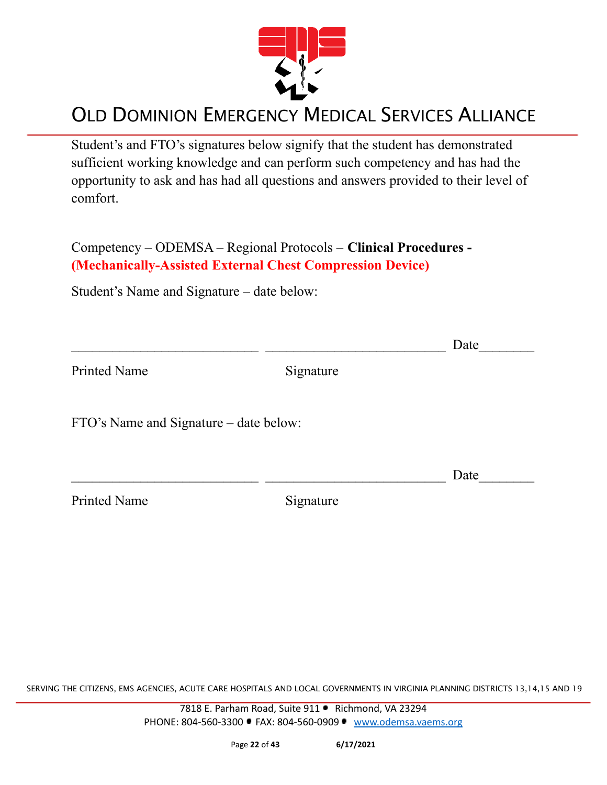

Student's and FTO's signatures below signify that the student has demonstrated sufficient working knowledge and can perform such competency and has had the opportunity to ask and has had all questions and answers provided to their level of comfort.

Competency – ODEMSA – Regional Protocols – **Clinical Procedures - (Mechanically-Assisted External Chest Compression Device)**

Student's Name and Signature – date below:

|                                        |           | Date |
|----------------------------------------|-----------|------|
| <b>Printed Name</b>                    | Signature |      |
| FTO's Name and Signature - date below: |           |      |
|                                        |           | Date |
| <b>Printed Name</b>                    | Signature |      |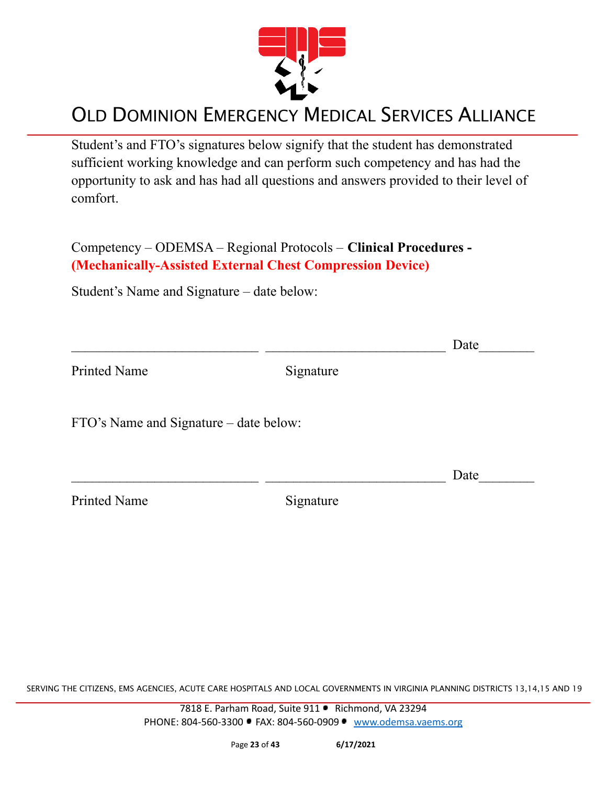

Student's and FTO's signatures below signify that the student has demonstrated sufficient working knowledge and can perform such competency and has had the opportunity to ask and has had all questions and answers provided to their level of comfort.

Competency – ODEMSA – Regional Protocols – **Clinical Procedures - (Mechanically-Assisted External Chest Compression Device)**

Student's Name and Signature – date below:

|                                        |           | Date |
|----------------------------------------|-----------|------|
| <b>Printed Name</b>                    | Signature |      |
| FTO's Name and Signature - date below: |           |      |
|                                        |           | Date |
| <b>Printed Name</b>                    | Signature |      |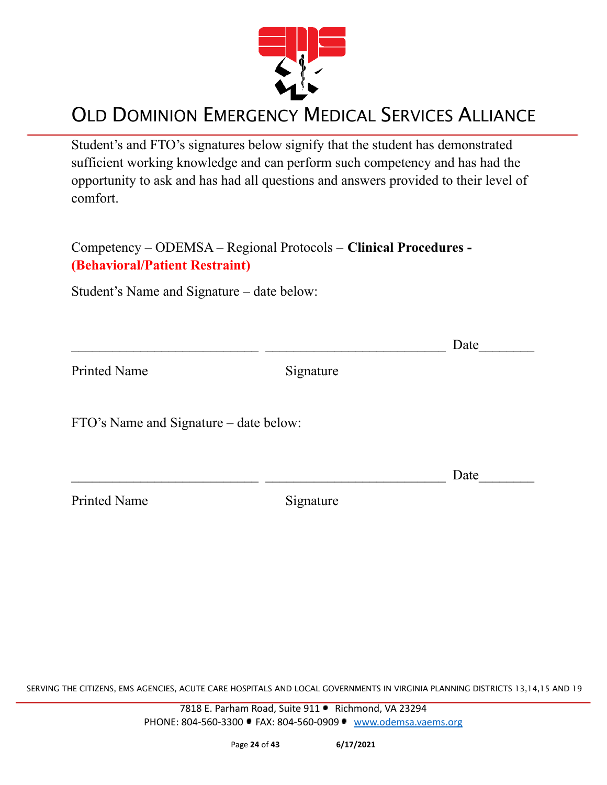

Student's and FTO's signatures below signify that the student has demonstrated sufficient working knowledge and can perform such competency and has had the opportunity to ask and has had all questions and answers provided to their level of comfort.

Competency – ODEMSA – Regional Protocols – **Clinical Procedures - (Behavioral/Patient Restraint)**

Student's Name and Signature – date below:

|                                        |           | Date |
|----------------------------------------|-----------|------|
| <b>Printed Name</b>                    | Signature |      |
| FTO's Name and Signature – date below: |           |      |
|                                        |           | Date |
| <b>Printed Name</b>                    | Signature |      |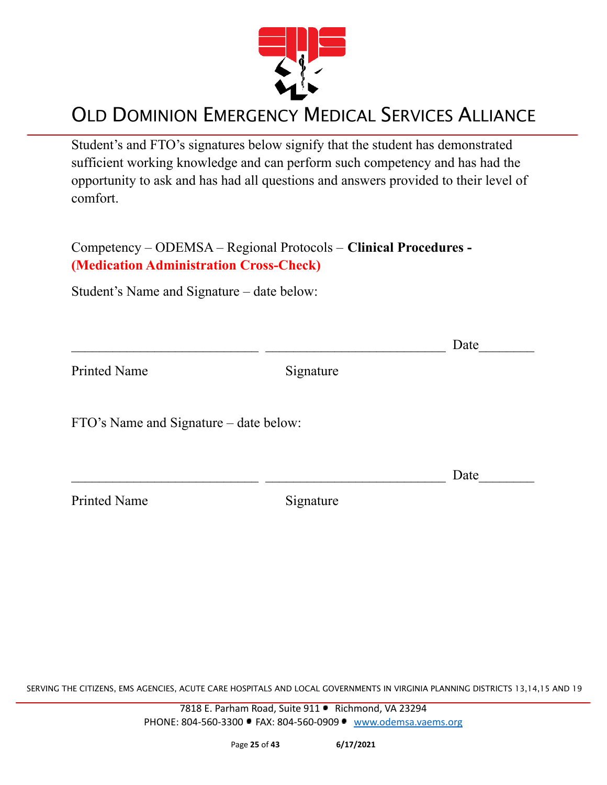

Student's and FTO's signatures below signify that the student has demonstrated sufficient working knowledge and can perform such competency and has had the opportunity to ask and has had all questions and answers provided to their level of comfort.

Competency – ODEMSA – Regional Protocols – **Clinical Procedures - (Medication Administration Cross-Check)**

Student's Name and Signature – date below:

|                                        |           | Date |
|----------------------------------------|-----------|------|
| <b>Printed Name</b>                    | Signature |      |
| FTO's Name and Signature – date below: |           |      |
|                                        |           | Date |
| <b>Printed Name</b>                    | Signature |      |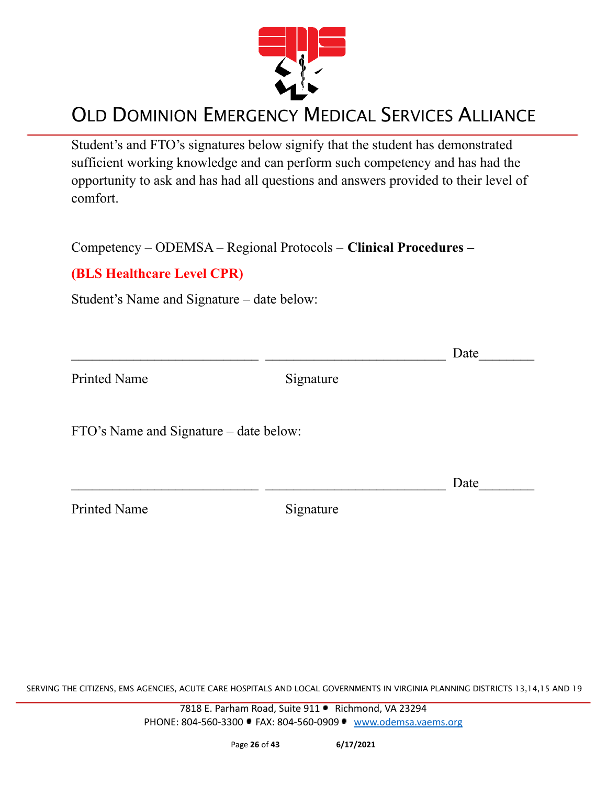

Student's and FTO's signatures below signify that the student has demonstrated sufficient working knowledge and can perform such competency and has had the opportunity to ask and has had all questions and answers provided to their level of comfort.

Competency – ODEMSA – Regional Protocols – **Clinical Procedures –**

#### **(BLS Healthcare Level CPR)**

Student's Name and Signature – date below:

|                                        |           | Date |
|----------------------------------------|-----------|------|
| <b>Printed Name</b>                    | Signature |      |
| FTO's Name and Signature – date below: |           |      |
|                                        |           | Date |
| <b>Printed Name</b>                    | Signature |      |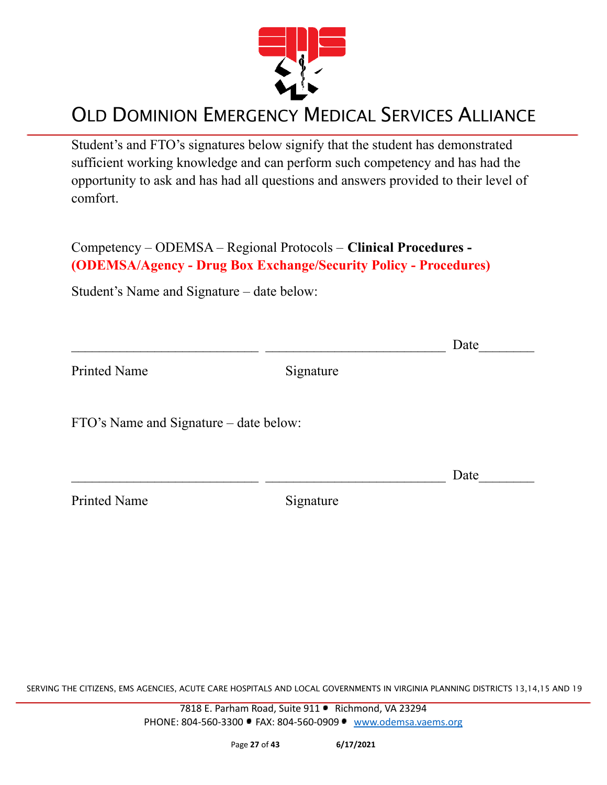

Student's and FTO's signatures below signify that the student has demonstrated sufficient working knowledge and can perform such competency and has had the opportunity to ask and has had all questions and answers provided to their level of comfort.

Competency – ODEMSA – Regional Protocols – **Clinical Procedures - (ODEMSA/Agency - Drug Box Exchange/Security Policy - Procedures)**

Student's Name and Signature – date below:

|                                        |           | Date |
|----------------------------------------|-----------|------|
| <b>Printed Name</b>                    | Signature |      |
| FTO's Name and Signature – date below: |           |      |
|                                        |           | Date |
| <b>Printed Name</b>                    | Signature |      |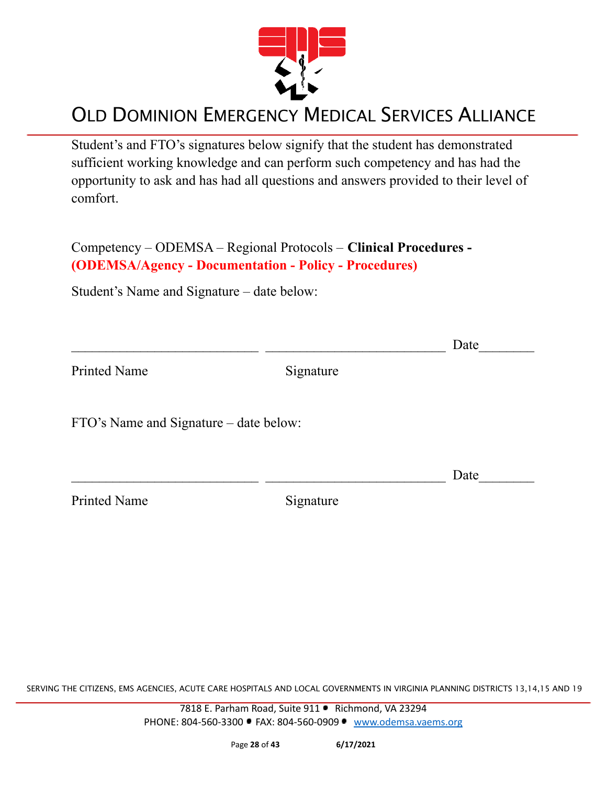

Student's and FTO's signatures below signify that the student has demonstrated sufficient working knowledge and can perform such competency and has had the opportunity to ask and has had all questions and answers provided to their level of comfort.

Competency – ODEMSA – Regional Protocols – **Clinical Procedures - (ODEMSA/Agency - Documentation - Policy - Procedures)**

Student's Name and Signature – date below:

|                                        |           | Date |
|----------------------------------------|-----------|------|
| <b>Printed Name</b>                    | Signature |      |
| FTO's Name and Signature – date below: |           |      |
|                                        |           | Date |
| <b>Printed Name</b>                    | Signature |      |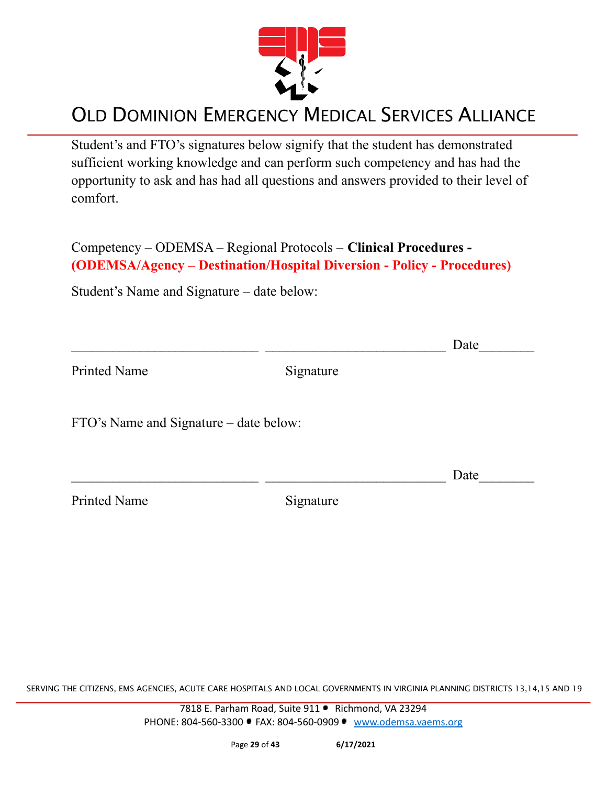

Student's and FTO's signatures below signify that the student has demonstrated sufficient working knowledge and can perform such competency and has had the opportunity to ask and has had all questions and answers provided to their level of comfort.

Competency – ODEMSA – Regional Protocols – **Clinical Procedures - (ODEMSA/Agency – Destination/Hospital Diversion - Policy - Procedures)**

Student's Name and Signature – date below:

|                                        |           | Date |
|----------------------------------------|-----------|------|
| <b>Printed Name</b>                    | Signature |      |
| FTO's Name and Signature – date below: |           |      |
|                                        |           | Date |
| <b>Printed Name</b>                    | Signature |      |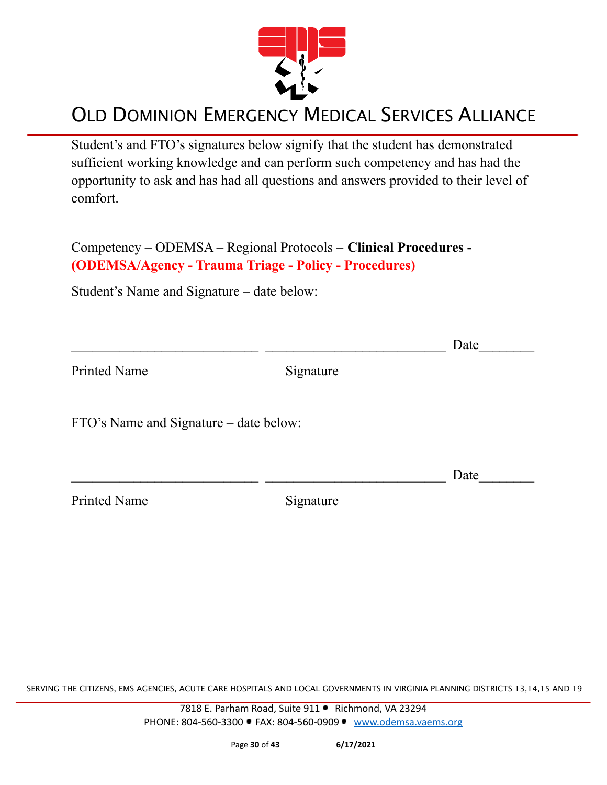

Student's and FTO's signatures below signify that the student has demonstrated sufficient working knowledge and can perform such competency and has had the opportunity to ask and has had all questions and answers provided to their level of comfort.

Competency – ODEMSA – Regional Protocols – **Clinical Procedures - (ODEMSA/Agency - Trauma Triage - Policy - Procedures)**

Student's Name and Signature – date below:

|                                        |           | Date |
|----------------------------------------|-----------|------|
| <b>Printed Name</b>                    | Signature |      |
| FTO's Name and Signature – date below: |           |      |
|                                        |           | Date |
| <b>Printed Name</b>                    | Signature |      |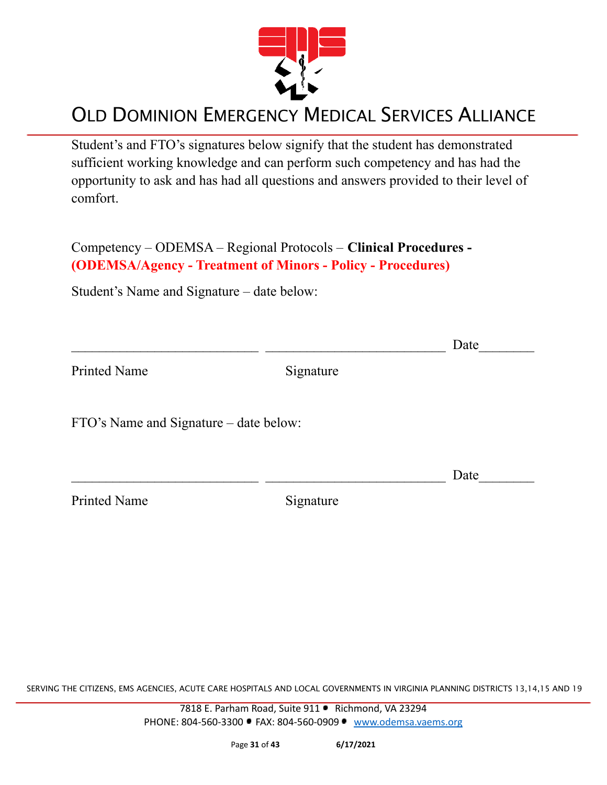

Student's and FTO's signatures below signify that the student has demonstrated sufficient working knowledge and can perform such competency and has had the opportunity to ask and has had all questions and answers provided to their level of comfort.

Competency – ODEMSA – Regional Protocols – **Clinical Procedures - (ODEMSA/Agency - Treatment of Minors - Policy - Procedures)**

Student's Name and Signature – date below:

|                                        |           | Date |
|----------------------------------------|-----------|------|
| <b>Printed Name</b>                    | Signature |      |
| FTO's Name and Signature – date below: |           |      |
|                                        |           | Date |
| <b>Printed Name</b>                    | Signature |      |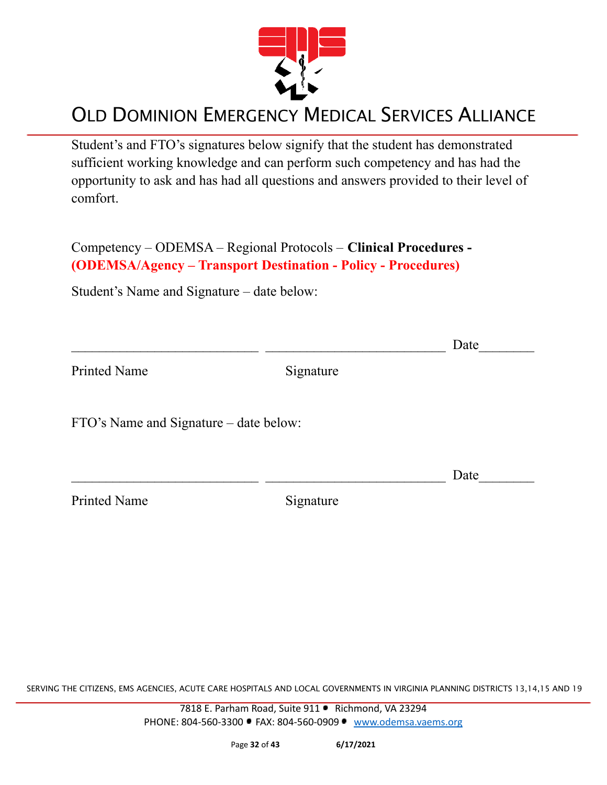

Student's and FTO's signatures below signify that the student has demonstrated sufficient working knowledge and can perform such competency and has had the opportunity to ask and has had all questions and answers provided to their level of comfort.

Competency – ODEMSA – Regional Protocols – **Clinical Procedures - (ODEMSA/Agency – Transport Destination - Policy - Procedures)**

Student's Name and Signature – date below:

|                                        |           | Date |
|----------------------------------------|-----------|------|
| Printed Name                           | Signature |      |
| FTO's Name and Signature – date below: |           |      |
|                                        |           | Date |
| <b>Printed Name</b>                    | Signature |      |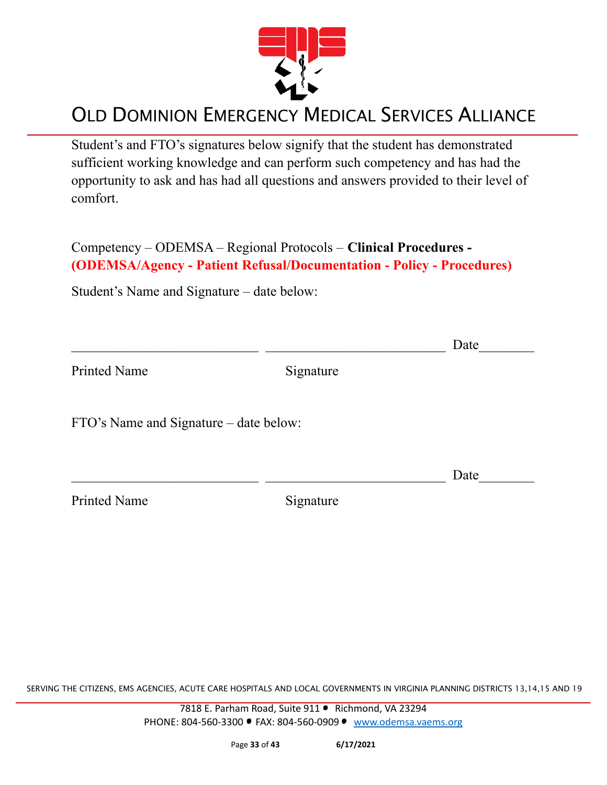

Student's and FTO's signatures below signify that the student has demonstrated sufficient working knowledge and can perform such competency and has had the opportunity to ask and has had all questions and answers provided to their level of comfort.

Competency – ODEMSA – Regional Protocols – **Clinical Procedures - (ODEMSA/Agency - Patient Refusal/Documentation - Policy - Procedures)**

Student's Name and Signature – date below:

|                                        |           | Date |
|----------------------------------------|-----------|------|
| <b>Printed Name</b>                    | Signature |      |
| FTO's Name and Signature – date below: |           |      |
|                                        |           | Date |
| <b>Printed Name</b>                    | Signature |      |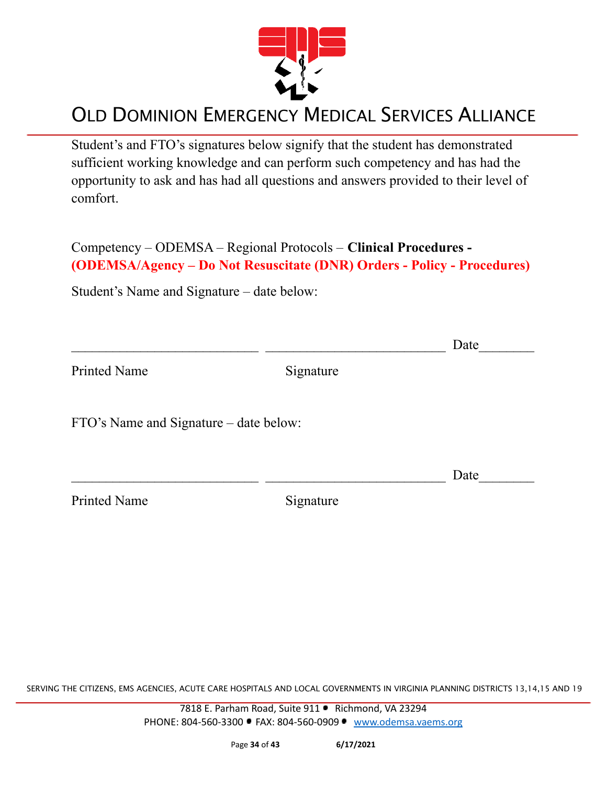

Student's and FTO's signatures below signify that the student has demonstrated sufficient working knowledge and can perform such competency and has had the opportunity to ask and has had all questions and answers provided to their level of comfort.

Competency – ODEMSA – Regional Protocols – **Clinical Procedures - (ODEMSA/Agency – Do Not Resuscitate (DNR) Orders - Policy - Procedures)**

Student's Name and Signature – date below:

|                                        |           | Date |
|----------------------------------------|-----------|------|
| <b>Printed Name</b>                    | Signature |      |
| FTO's Name and Signature – date below: |           |      |
|                                        |           | Date |
| <b>Printed Name</b>                    | Signature |      |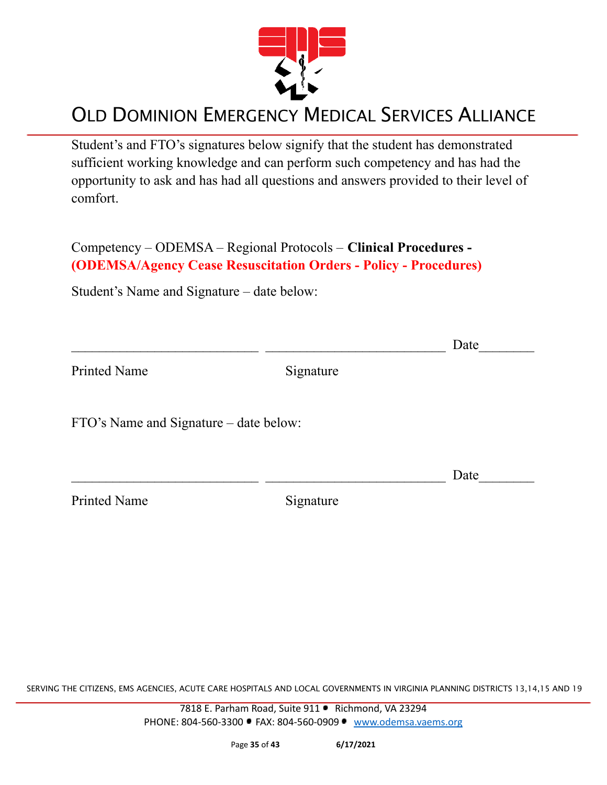

Student's and FTO's signatures below signify that the student has demonstrated sufficient working knowledge and can perform such competency and has had the opportunity to ask and has had all questions and answers provided to their level of comfort.

Competency – ODEMSA – Regional Protocols – **Clinical Procedures - (ODEMSA/Agency Cease Resuscitation Orders - Policy - Procedures)**

Student's Name and Signature – date below:

|                                        |           | Date |
|----------------------------------------|-----------|------|
| <b>Printed Name</b>                    | Signature |      |
| FTO's Name and Signature – date below: |           |      |
|                                        |           | Date |
| <b>Printed Name</b>                    | Signature |      |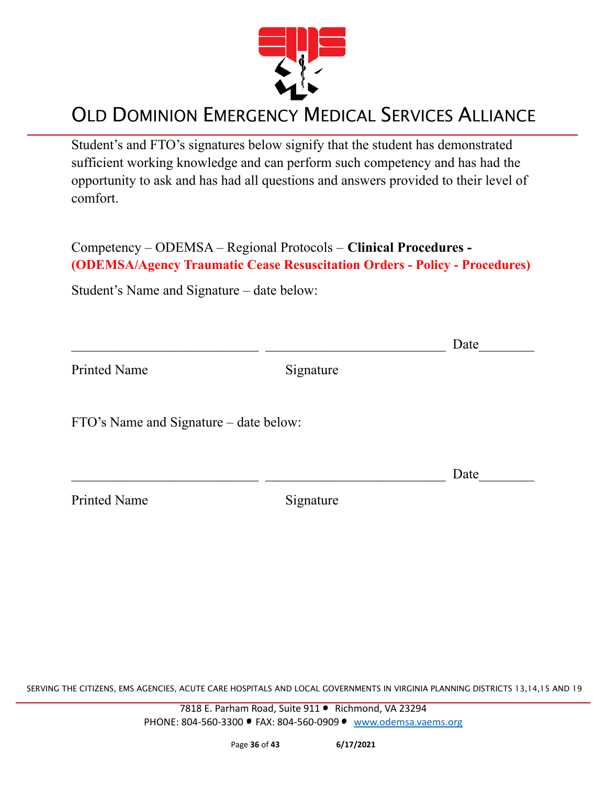

Student's and FTO's signatures below signify that the student has demonstrated sufficient working knowledge and can perform such competency and has had the opportunity to ask and has had all questions and answers provided to their level of comfort.

Competency – ODEMSA – Regional Protocols – **Clinical Procedures - (ODEMSA/Agency Traumatic Cease Resuscitation Orders - Policy - Procedures)**

Student's Name and Signature – date below:

|                                        |           | Date |
|----------------------------------------|-----------|------|
| <b>Printed Name</b>                    | Signature |      |
| FTO's Name and Signature – date below: |           |      |
|                                        |           | Date |
| <b>Printed Name</b>                    | Signature |      |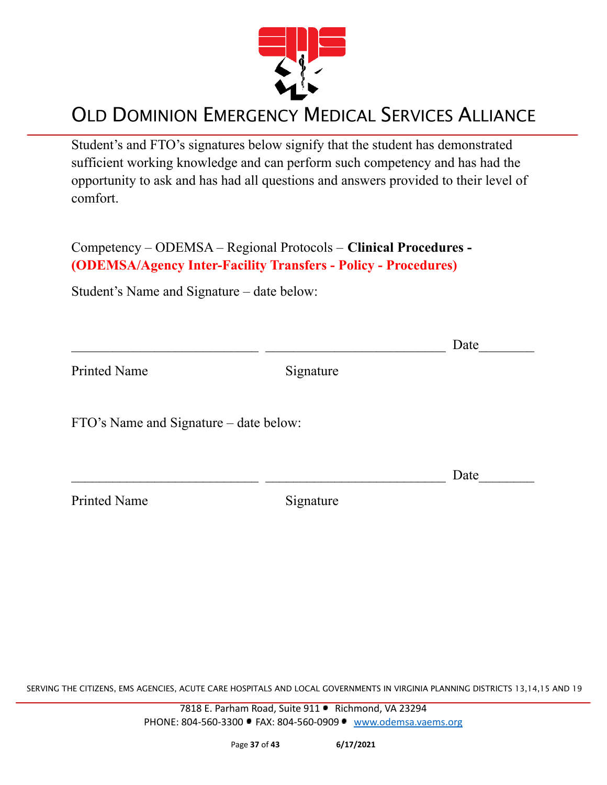

Student's and FTO's signatures below signify that the student has demonstrated sufficient working knowledge and can perform such competency and has had the opportunity to ask and has had all questions and answers provided to their level of comfort.

Competency – ODEMSA – Regional Protocols – **Clinical Procedures - (ODEMSA/Agency Inter-Facility Transfers - Policy - Procedures)**

Student's Name and Signature – date below:

|                                        |           | Date |
|----------------------------------------|-----------|------|
| <b>Printed Name</b>                    | Signature |      |
| FTO's Name and Signature – date below: |           |      |
|                                        |           | Date |
| <b>Printed Name</b>                    | Signature |      |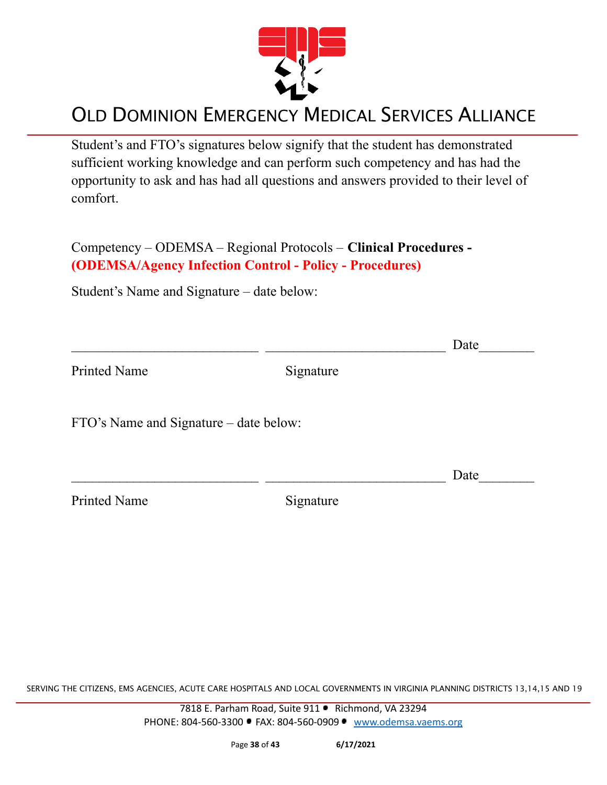

Student's and FTO's signatures below signify that the student has demonstrated sufficient working knowledge and can perform such competency and has had the opportunity to ask and has had all questions and answers provided to their level of comfort.

Competency – ODEMSA – Regional Protocols – **Clinical Procedures - (ODEMSA/Agency Infection Control - Policy - Procedures)**

Student's Name and Signature – date below:

|                                        |           | Date |
|----------------------------------------|-----------|------|
| <b>Printed Name</b>                    | Signature |      |
| FTO's Name and Signature – date below: |           |      |
|                                        |           | Date |
| <b>Printed Name</b>                    | Signature |      |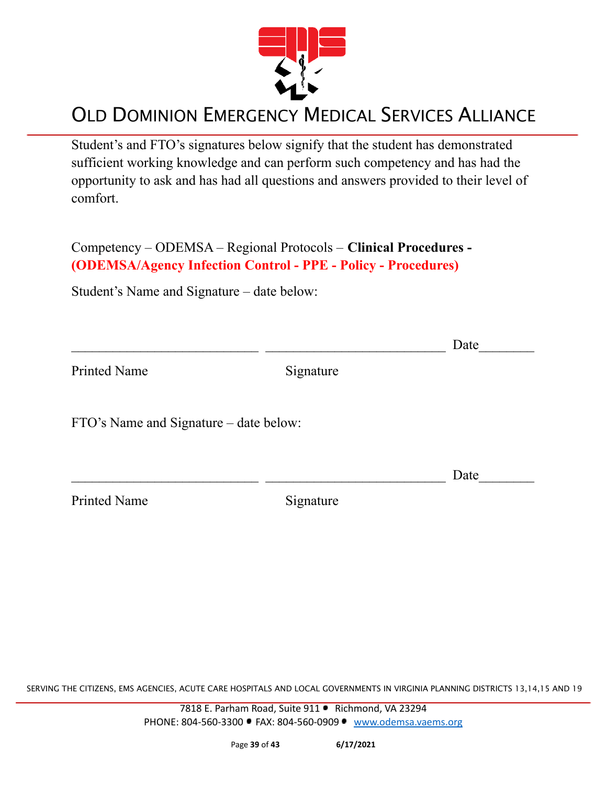

Student's and FTO's signatures below signify that the student has demonstrated sufficient working knowledge and can perform such competency and has had the opportunity to ask and has had all questions and answers provided to their level of comfort.

Competency – ODEMSA – Regional Protocols – **Clinical Procedures - (ODEMSA/Agency Infection Control - PPE - Policy - Procedures)**

Student's Name and Signature – date below:

|                                        |           | Date |
|----------------------------------------|-----------|------|
| <b>Printed Name</b>                    | Signature |      |
| FTO's Name and Signature – date below: |           |      |
|                                        |           | Date |
| <b>Printed Name</b>                    | Signature |      |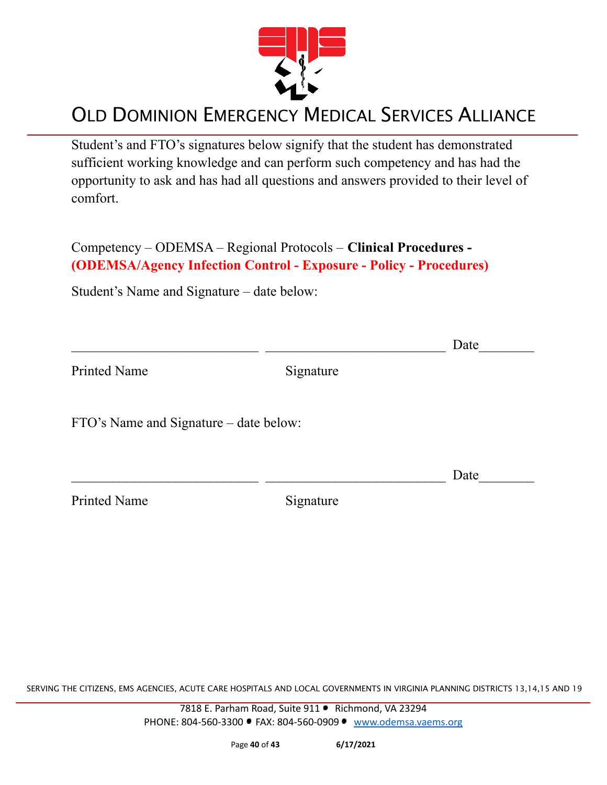

Student's and FTO's signatures below signify that the student has demonstrated sufficient working knowledge and can perform such competency and has had the opportunity to ask and has had all questions and answers provided to their level of comfort.

Competency – ODEMSA – Regional Protocols – **Clinical Procedures - (ODEMSA/Agency Infection Control - Exposure - Policy - Procedures)**

Student's Name and Signature – date below:

|                                        |           | Date |
|----------------------------------------|-----------|------|
| <b>Printed Name</b>                    | Signature |      |
| FTO's Name and Signature – date below: |           |      |
|                                        |           | Date |
| <b>Printed Name</b>                    | Signature |      |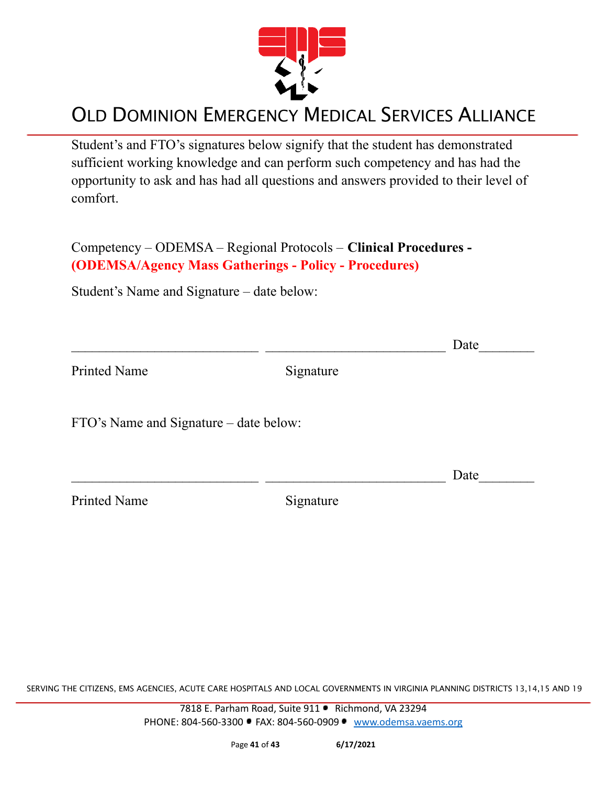

Student's and FTO's signatures below signify that the student has demonstrated sufficient working knowledge and can perform such competency and has had the opportunity to ask and has had all questions and answers provided to their level of comfort.

Competency – ODEMSA – Regional Protocols – **Clinical Procedures - (ODEMSA/Agency Mass Gatherings - Policy - Procedures)**

Student's Name and Signature – date below:

|                                        |           | Date |
|----------------------------------------|-----------|------|
| <b>Printed Name</b>                    | Signature |      |
| FTO's Name and Signature – date below: |           |      |
|                                        |           | Date |
| <b>Printed Name</b>                    | Signature |      |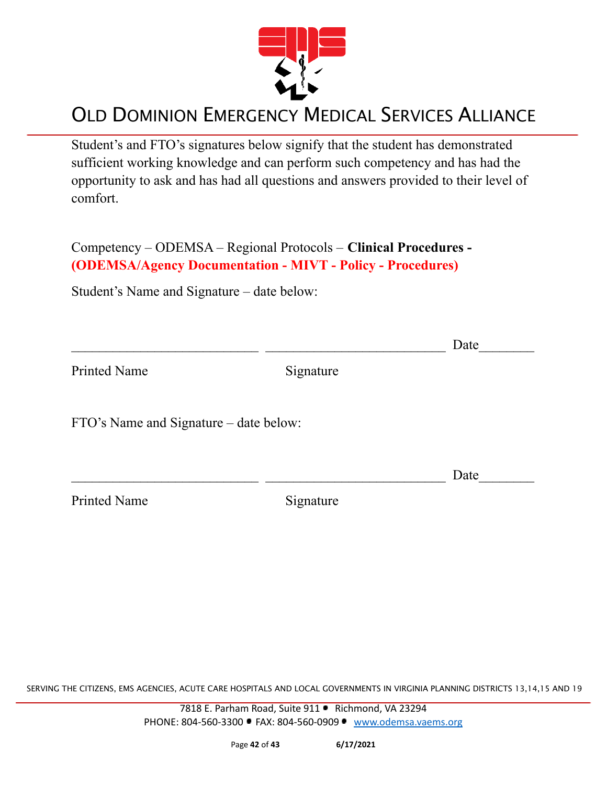

Student's and FTO's signatures below signify that the student has demonstrated sufficient working knowledge and can perform such competency and has had the opportunity to ask and has had all questions and answers provided to their level of comfort.

Competency – ODEMSA – Regional Protocols – **Clinical Procedures - (ODEMSA/Agency Documentation - MIVT - Policy - Procedures)**

Student's Name and Signature – date below:

|                                        |           | Date |
|----------------------------------------|-----------|------|
| <b>Printed Name</b>                    | Signature |      |
| FTO's Name and Signature – date below: |           |      |
|                                        |           | Date |
| <b>Printed Name</b>                    | Signature |      |